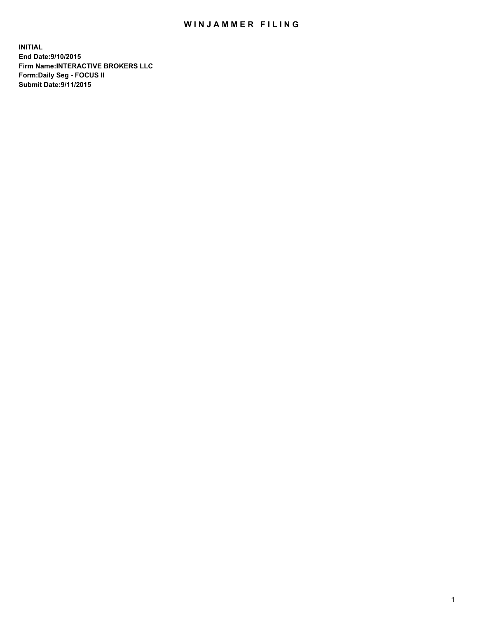## WIN JAMMER FILING

**INITIAL End Date:9/10/2015 Firm Name:INTERACTIVE BROKERS LLC Form:Daily Seg - FOCUS II Submit Date:9/11/2015**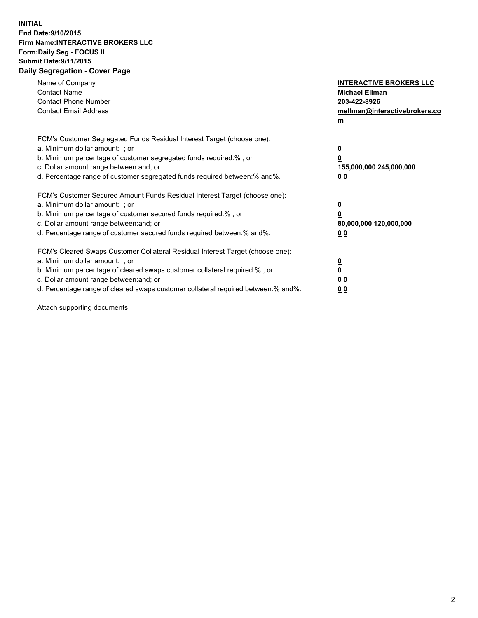## **INITIAL End Date:9/10/2015 Firm Name:INTERACTIVE BROKERS LLC Form:Daily Seg - FOCUS II Submit Date:9/11/2015 Daily Segregation - Cover Page**

| Name of Company<br><b>Contact Name</b><br><b>Contact Phone Number</b><br><b>Contact Email Address</b>                                                                                                                                                                                                                          | <b>INTERACTIVE BROKERS LLC</b><br><b>Michael Ellman</b><br>203-422-8926<br>mellman@interactivebrokers.co<br>$\mathbf{m}$ |
|--------------------------------------------------------------------------------------------------------------------------------------------------------------------------------------------------------------------------------------------------------------------------------------------------------------------------------|--------------------------------------------------------------------------------------------------------------------------|
| FCM's Customer Segregated Funds Residual Interest Target (choose one):<br>a. Minimum dollar amount: ; or<br>b. Minimum percentage of customer segregated funds required:% ; or<br>c. Dollar amount range between: and; or<br>d. Percentage range of customer segregated funds required between:% and%.                         | $\overline{\mathbf{0}}$<br>0<br>155,000,000 245,000,000<br>00                                                            |
| FCM's Customer Secured Amount Funds Residual Interest Target (choose one):<br>a. Minimum dollar amount: ; or<br>b. Minimum percentage of customer secured funds required:% ; or<br>c. Dollar amount range between: and; or<br>d. Percentage range of customer secured funds required between: % and %.                         | $\overline{\mathbf{0}}$<br>0<br>80,000,000 120,000,000<br>00                                                             |
| FCM's Cleared Swaps Customer Collateral Residual Interest Target (choose one):<br>a. Minimum dollar amount: ; or<br>b. Minimum percentage of cleared swaps customer collateral required:% ; or<br>c. Dollar amount range between: and; or<br>d. Percentage range of cleared swaps customer collateral required between:% and%. | $\overline{\mathbf{0}}$<br>$\overline{\mathbf{0}}$<br>0 <sub>0</sub><br>0 <sub>0</sub>                                   |

Attach supporting documents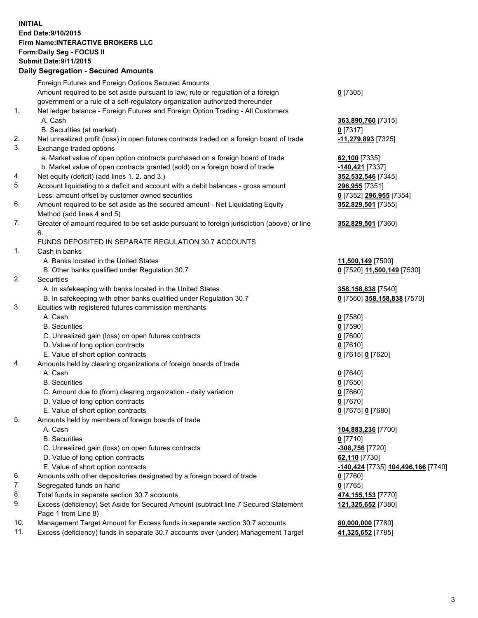## **INITIAL End Date:9/10/2015 Firm Name:INTERACTIVE BROKERS LLC Form:Daily Seg - FOCUS II Submit Date:9/11/2015 Daily Segregation - Secured Amounts**

|     | Daily Segregation - Secured Aniounts                                                                       |                                    |
|-----|------------------------------------------------------------------------------------------------------------|------------------------------------|
|     | Foreign Futures and Foreign Options Secured Amounts                                                        |                                    |
|     | Amount required to be set aside pursuant to law, rule or regulation of a foreign                           | $0$ [7305]                         |
|     | government or a rule of a self-regulatory organization authorized thereunder                               |                                    |
| 1.  | Net ledger balance - Foreign Futures and Foreign Option Trading - All Customers                            |                                    |
|     | A. Cash                                                                                                    | 363,890,760 [7315]                 |
|     | B. Securities (at market)                                                                                  | $0$ [7317]                         |
| 2.  | Net unrealized profit (loss) in open futures contracts traded on a foreign board of trade                  | -11,279,893 [7325]                 |
| 3.  | Exchange traded options                                                                                    |                                    |
|     | a. Market value of open option contracts purchased on a foreign board of trade                             | 62,100 [7335]                      |
|     | b. Market value of open contracts granted (sold) on a foreign board of trade                               | -140,421 [7337]                    |
| 4.  | Net equity (deficit) (add lines 1.2. and 3.)                                                               | 352,532,546 [7345]                 |
| 5.  | Account liquidating to a deficit and account with a debit balances - gross amount                          | 296,955 [7351]                     |
|     | Less: amount offset by customer owned securities                                                           | 0 [7352] 296,955 [7354]            |
| 6.  | Amount required to be set aside as the secured amount - Net Liquidating Equity                             | 352,829,501 [7355]                 |
|     | Method (add lines 4 and 5)                                                                                 |                                    |
| 7.  | Greater of amount required to be set aside pursuant to foreign jurisdiction (above) or line                | 352,829,501 [7360]                 |
|     | 6.                                                                                                         |                                    |
|     | FUNDS DEPOSITED IN SEPARATE REGULATION 30.7 ACCOUNTS                                                       |                                    |
| 1.  | Cash in banks                                                                                              |                                    |
|     | A. Banks located in the United States                                                                      | 11,500,149 [7500]                  |
|     | B. Other banks qualified under Regulation 30.7                                                             | 0 [7520] 11,500,149 [7530]         |
| 2.  | Securities                                                                                                 |                                    |
|     | A. In safekeeping with banks located in the United States                                                  | 358,158,838 [7540]                 |
|     | B. In safekeeping with other banks qualified under Regulation 30.7                                         | 0 [7560] 358,158,838 [7570]        |
| 3.  | Equities with registered futures commission merchants                                                      |                                    |
|     | A. Cash                                                                                                    | $0$ [7580]                         |
|     | <b>B.</b> Securities                                                                                       | $0$ [7590]                         |
|     | C. Unrealized gain (loss) on open futures contracts                                                        | $0$ [7600]                         |
|     | D. Value of long option contracts                                                                          | $0$ [7610]                         |
|     | E. Value of short option contracts                                                                         | 0 [7615] 0 [7620]                  |
| 4.  | Amounts held by clearing organizations of foreign boards of trade                                          |                                    |
|     | A. Cash                                                                                                    | $0$ [7640]                         |
|     | <b>B.</b> Securities                                                                                       | $0$ [7650]                         |
|     | C. Amount due to (from) clearing organization - daily variation                                            | $0$ [7660]                         |
|     | D. Value of long option contracts                                                                          | $0$ [7670]                         |
|     | E. Value of short option contracts                                                                         | 0 [7675] 0 [7680]                  |
| 5.  | Amounts held by members of foreign boards of trade                                                         |                                    |
|     | A. Cash                                                                                                    | 104,883,236 [7700]                 |
|     | <b>B.</b> Securities                                                                                       | $0$ [7710]                         |
|     | C. Unrealized gain (loss) on open futures contracts                                                        | -308,756 [7720]                    |
|     | D. Value of long option contracts                                                                          | 62,110 [7730]                      |
|     | E. Value of short option contracts                                                                         | -140,424 [7735] 104,496,166 [7740] |
| 6.  | Amounts with other depositories designated by a foreign board of trade                                     | 0 [7760]                           |
| 7.  | Segregated funds on hand                                                                                   | $0$ [7765]                         |
| 8.  | Total funds in separate section 30.7 accounts                                                              |                                    |
| 9.  |                                                                                                            | 474,155,153 [7770]                 |
|     | Excess (deficiency) Set Aside for Secured Amount (subtract line 7 Secured Statement<br>Page 1 from Line 8) | 121,325,652 [7380]                 |
| 10. | Management Target Amount for Excess funds in separate section 30.7 accounts                                | 80,000,000 [7780]                  |
| 11. | Excess (deficiency) funds in separate 30.7 accounts over (under) Management Target                         |                                    |
|     |                                                                                                            | 41,325,652 [7785]                  |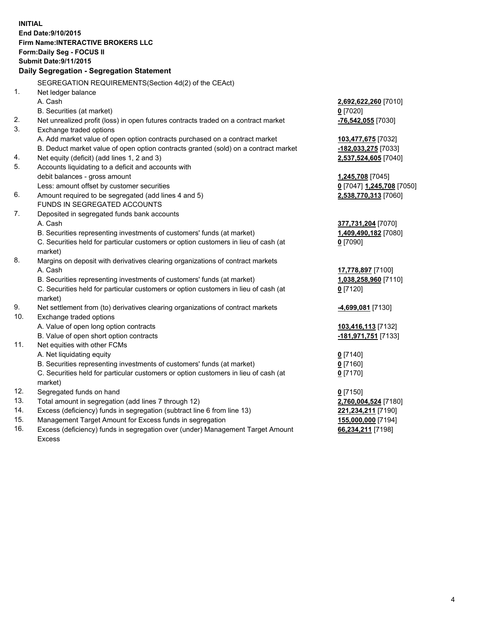**INITIAL End Date:9/10/2015 Firm Name:INTERACTIVE BROKERS LLC Form:Daily Seg - FOCUS II Submit Date:9/11/2015 Daily Segregation - Segregation Statement** SEGREGATION REQUIREMENTS(Section 4d(2) of the CEAct) 1. Net ledger balance A. Cash **2,692,622,260** [7010] B. Securities (at market) **0** [7020] 2. Net unrealized profit (loss) in open futures contracts traded on a contract market **-76,542,055** [7030] 3. Exchange traded options A. Add market value of open option contracts purchased on a contract market **103,477,675** [7032] B. Deduct market value of open option contracts granted (sold) on a contract market **-182,033,275** [7033] 4. Net equity (deficit) (add lines 1, 2 and 3) **2,537,524,605** [7040] 5. Accounts liquidating to a deficit and accounts with debit balances - gross amount **1,245,708** [7045] Less: amount offset by customer securities **0** [7047] **1,245,708** [7050] 6. Amount required to be segregated (add lines 4 and 5) **2,538,770,313** [7060] FUNDS IN SEGREGATED ACCOUNTS 7. Deposited in segregated funds bank accounts A. Cash **377,731,204** [7070] B. Securities representing investments of customers' funds (at market) **1,409,490,182** [7080] C. Securities held for particular customers or option customers in lieu of cash (at market) **0** [7090] 8. Margins on deposit with derivatives clearing organizations of contract markets A. Cash **17,778,897** [7100] B. Securities representing investments of customers' funds (at market) **1,038,258,960** [7110] C. Securities held for particular customers or option customers in lieu of cash (at market) **0** [7120] 9. Net settlement from (to) derivatives clearing organizations of contract markets **-4,699,081** [7130] 10. Exchange traded options A. Value of open long option contracts **103,416,113** [7132] B. Value of open short option contracts **-181,971,751** [7133] 11. Net equities with other FCMs A. Net liquidating equity **0** [7140] B. Securities representing investments of customers' funds (at market) **0** [7160] C. Securities held for particular customers or option customers in lieu of cash (at market) **0** [7170] 12. Segregated funds on hand **0** [7150] 13. Total amount in segregation (add lines 7 through 12) **2,760,004,524** [7180] 14. Excess (deficiency) funds in segregation (subtract line 6 from line 13) **221,234,211** [7190] 15. Management Target Amount for Excess funds in segregation **155,000,000** [7194] **66,234,211** [7198]

16. Excess (deficiency) funds in segregation over (under) Management Target Amount Excess